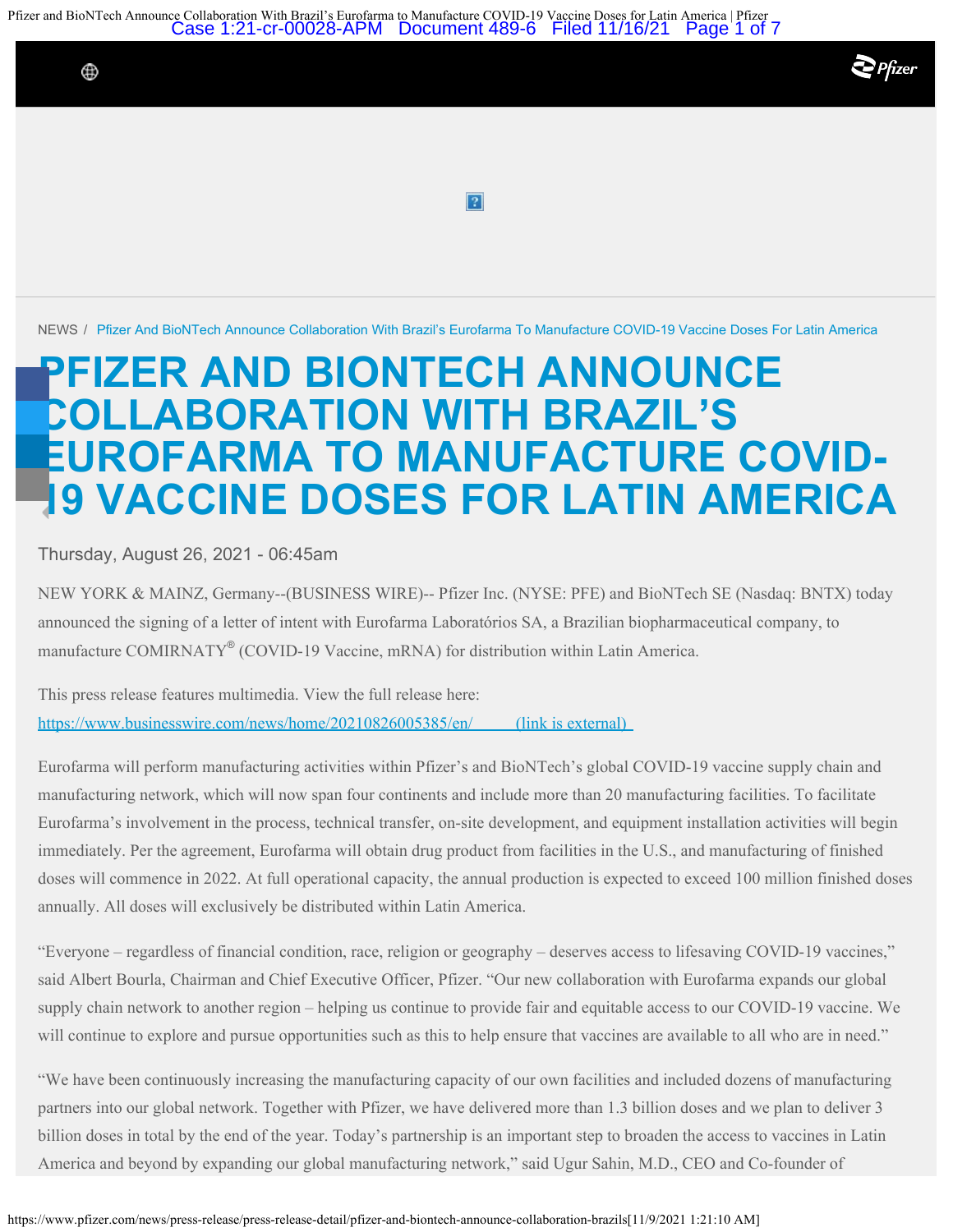Pfizer and BioNTech Announce Collaboration With Brazil's Eurofarma to Manufacture COVID-19 Vaccine Doses for Latin America | Pfizer Case 1:21-cr-00028-APM Document 489-6 Filed 11/16/21 Page 1 of 7





 $|2|$ 

[NEWS](https://www.pfizer.com/news) / Pfizer And BioNTech Announce Collaboration With Brazil's Eurofarma To Manufacture COVID-19 Vaccine Doses For Latin America

# **PFIZER AND BIONTECH ANNOUNCE COLLABORATION WITH BRAZIL'S EUROFARMA TO MANUFACTURE COVID-19 VACCINE DOSES FOR LATIN AMERICA**

Thursday, August 26, 2021 - 06:45am

NEW YORK & MAINZ, Germany--(BUSINESS WIRE)-- Pfizer Inc. (NYSE: PFE) and BioNTech SE (Nasdaq: BNTX) today announced the signing of a letter of intent with Eurofarma Laboratórios SA, a Brazilian biopharmaceutical company, to manufacture COMIRNATY® (COVID-19 Vaccine, mRNA) for distribution within Latin America.

This press release features multimedia. View the full release here: <https://www.businesswire.com/news/home/20210826005385/en/> [\(link is external\)](https://www.businesswire.com/news/home/20210826005385/en/)

Eurofarma will perform manufacturing activities within Pfizer's and BioNTech's global COVID-19 vaccine supply chain and manufacturing network, which will now span four continents and include more than 20 manufacturing facilities. To facilitate Eurofarma's involvement in the process, technical transfer, on-site development, and equipment installation activities will begin immediately. Per the agreement, Eurofarma will obtain drug product from facilities in the U.S., and manufacturing of finished doses will commence in 2022. At full operational capacity, the annual production is expected to exceed 100 million finished doses annually. All doses will exclusively be distributed within Latin America.

"Everyone – regardless of financial condition, race, religion or geography – deserves access to lifesaving COVID-19 vaccines," said Albert Bourla, Chairman and Chief Executive Officer, Pfizer. "Our new collaboration with Eurofarma expands our global supply chain network to another region – helping us continue to provide fair and equitable access to our COVID-19 vaccine. We will continue to explore and pursue opportunities such as this to help ensure that vaccines are available to all who are in need."

"We have been continuously increasing the manufacturing capacity of our own facilities and included dozens of manufacturing partners into our global network. Together with Pfizer, we have delivered more than 1.3 billion doses and we plan to deliver 3 billion doses in total by the end of the year. Today's partnership is an important step to broaden the access to vaccines in Latin America and beyond by expanding our global manufacturing network," said Ugur Sahin, M.D., CEO and Co-founder of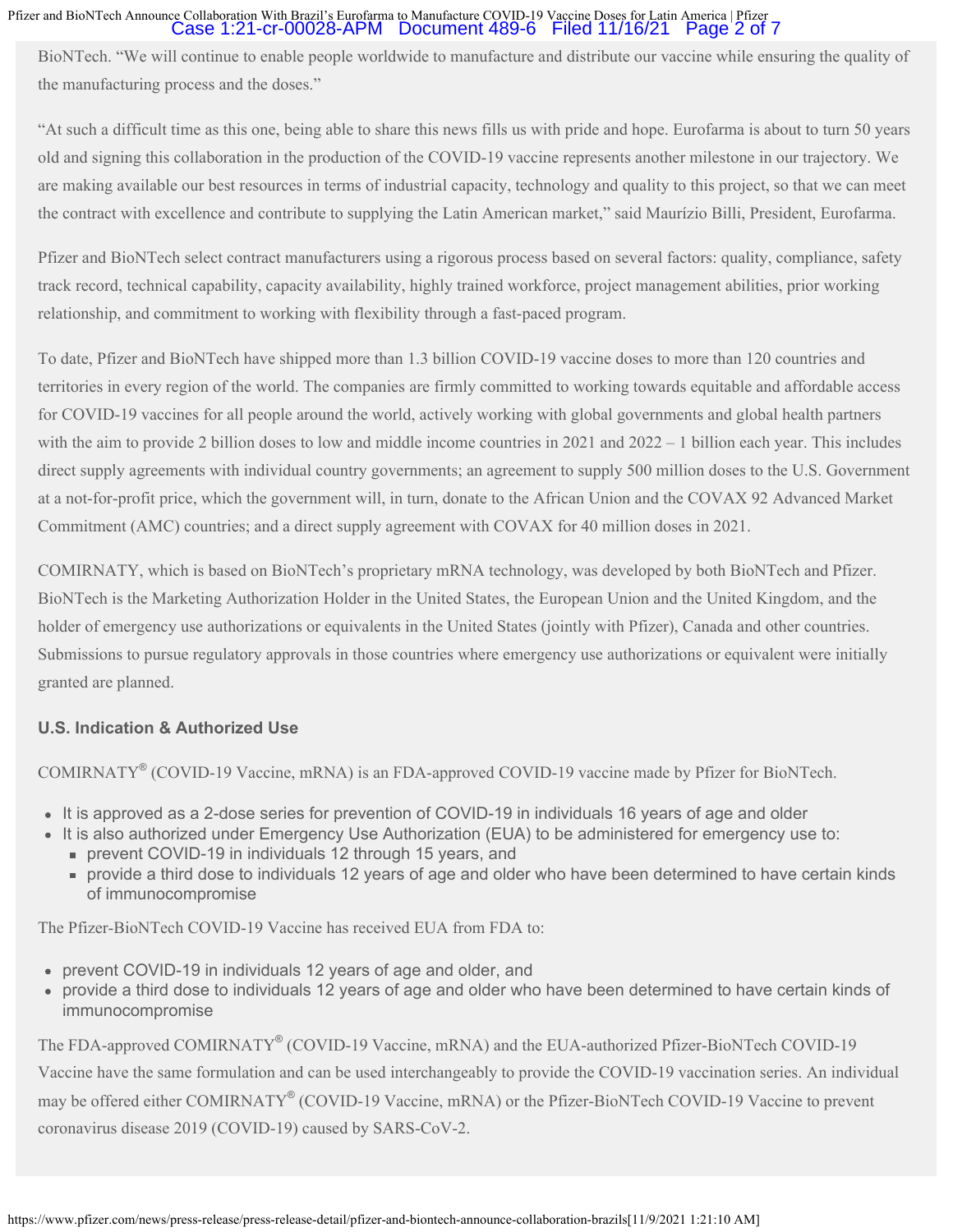#### Pfizer and BioNTech Announce Collaboration With Brazil's Eurofarma to Manufacture COVID-19 Vaccine Doses for Latin America | Pfizer Case 1:21-cr-00028-APM Document 489-6 Filed 11/16/21 Page 2 of 7

BioNTech. "We will continue to enable people worldwide to manufacture and distribute our vaccine while ensuring the quality of the manufacturing process and the doses."

"At such a difficult time as this one, being able to share this news fills us with pride and hope. Eurofarma is about to turn 50 years old and signing this collaboration in the production of the COVID-19 vaccine represents another milestone in our trajectory. We are making available our best resources in terms of industrial capacity, technology and quality to this project, so that we can meet the contract with excellence and contribute to supplying the Latin American market," said Maurízio Billi, President, Eurofarma.

Pfizer and BioNTech select contract manufacturers using a rigorous process based on several factors: quality, compliance, safety track record, technical capability, capacity availability, highly trained workforce, project management abilities, prior working relationship, and commitment to working with flexibility through a fast-paced program.

To date, Pfizer and BioNTech have shipped more than 1.3 billion COVID-19 vaccine doses to more than 120 countries and territories in every region of the world. The companies are firmly committed to working towards equitable and affordable access for COVID-19 vaccines for all people around the world, actively working with global governments and global health partners with the aim to provide 2 billion doses to low and middle income countries in 2021 and 2022 – 1 billion each year. This includes direct supply agreements with individual country governments; an agreement to supply 500 million doses to the U.S. Government at a not-for-profit price, which the government will, in turn, donate to the African Union and the COVAX 92 Advanced Market Commitment (AMC) countries; and a direct supply agreement with COVAX for 40 million doses in 2021.

COMIRNATY, which is based on BioNTech's proprietary mRNA technology, was developed by both BioNTech and Pfizer. BioNTech is the Marketing Authorization Holder in the United States, the European Union and the United Kingdom, and the holder of emergency use authorizations or equivalents in the United States (jointly with Pfizer), Canada and other countries. Submissions to pursue regulatory approvals in those countries where emergency use authorizations or equivalent were initially granted are planned.

### **U.S. Indication & Authorized Use**

COMIRNATY® (COVID-19 Vaccine, mRNA) is an FDA-approved COVID-19 vaccine made by Pfizer for BioNTech.

- It is approved as a 2-dose series for prevention of COVID-19 in individuals 16 years of age and older
- It is also authorized under Emergency Use Authorization (EUA) to be administered for emergency use to:
	- prevent COVID-19 in individuals 12 through 15 years, and
	- provide a third dose to individuals 12 years of age and older who have been determined to have certain kinds of immunocompromise

The Pfizer-BioNTech COVID-19 Vaccine has received EUA from FDA to:

- prevent COVID-19 in individuals 12 years of age and older, and
- provide a third dose to individuals 12 years of age and older who have been determined to have certain kinds of immunocompromise

The FDA-approved COMIRNATY® (COVID-19 Vaccine, mRNA) and the EUA-authorized Pfizer-BioNTech COVID-19 Vaccine have the same formulation and can be used interchangeably to provide the COVID-19 vaccination series. An individual may be offered either COMIRNATY® (COVID-19 Vaccine, mRNA) or the Pfizer-BioNTech COVID-19 Vaccine to prevent coronavirus disease 2019 (COVID-19) caused by SARS-CoV-2.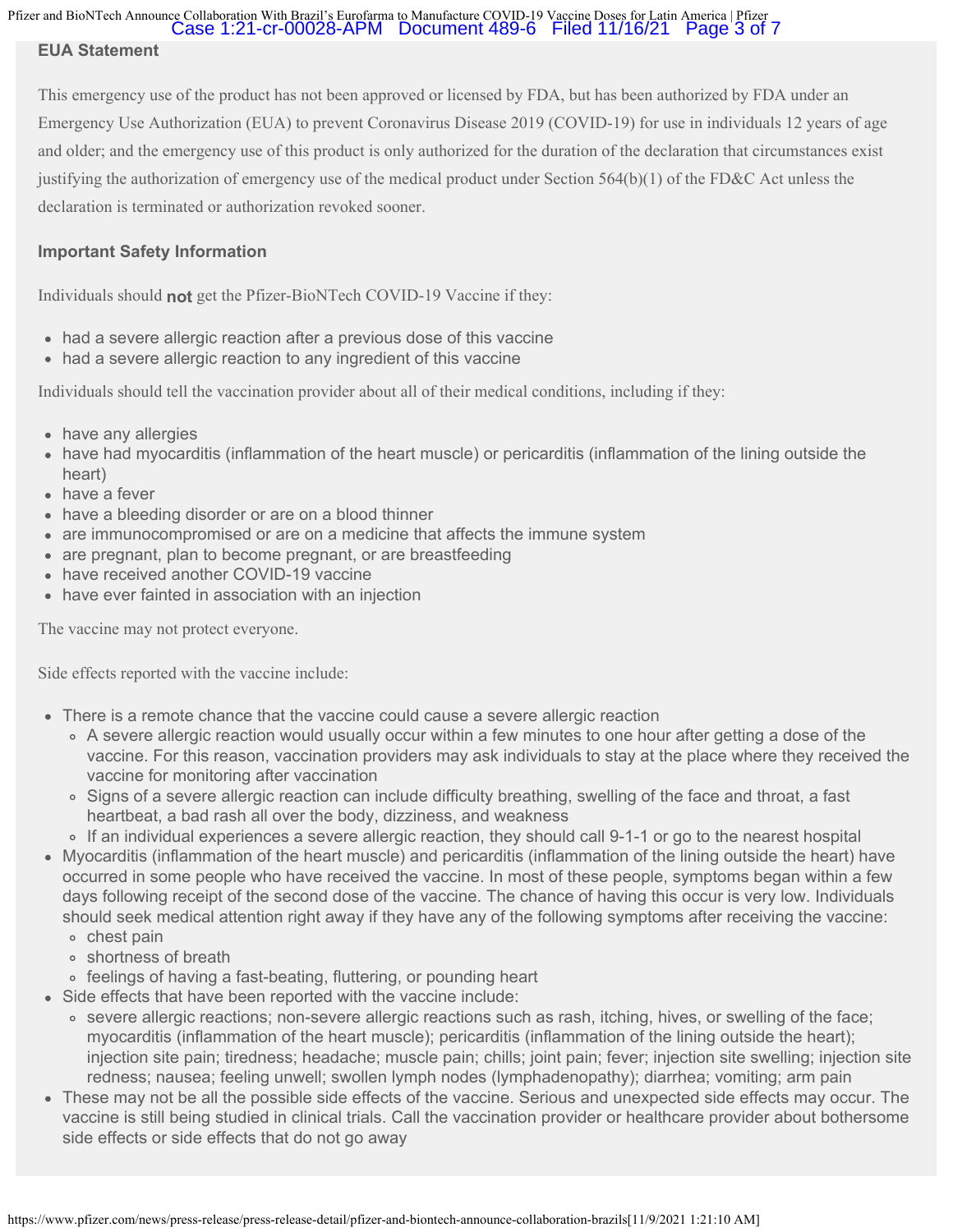#### Pfizer and BioNTech Announce Collaboration With Brazil's Eurofarma to Manufacture COVID-19 Vaccine Doses for Latin America | Pfizer Case 1:21-cr-00028-APM Document 489-6 Filed 11/16/21 Page 3 of 7

#### **EUA Statement**

This emergency use of the product has not been approved or licensed by FDA, but has been authorized by FDA under an Emergency Use Authorization (EUA) to prevent Coronavirus Disease 2019 (COVID-19) for use in individuals 12 years of age and older; and the emergency use of this product is only authorized for the duration of the declaration that circumstances exist justifying the authorization of emergency use of the medical product under Section 564(b)(1) of the FD&C Act unless the declaration is terminated or authorization revoked sooner.

#### **Important Safety Information**

Individuals should **not** get the Pfizer-BioNTech COVID-19 Vaccine if they:

- had a severe allergic reaction after a previous dose of this vaccine
- had a severe allergic reaction to any ingredient of this vaccine  $\bullet$

Individuals should tell the vaccination provider about all of their medical conditions, including if they:

- have any allergies
- have had myocarditis (inflammation of the heart muscle) or pericarditis (inflammation of the lining outside the heart)
- have a fever
- have a bleeding disorder or are on a blood thinner
- are immunocompromised or are on a medicine that affects the immune system
- are pregnant, plan to become pregnant, or are breastfeeding
- have received another COVID-19 vaccine
- have ever fainted in association with an injection

The vaccine may not protect everyone.

Side effects reported with the vaccine include:

- There is a remote chance that the vaccine could cause a severe allergic reaction
	- A severe allergic reaction would usually occur within a few minutes to one hour after getting a dose of the vaccine. For this reason, vaccination providers may ask individuals to stay at the place where they received the vaccine for monitoring after vaccination
	- Signs of a severe allergic reaction can include difficulty breathing, swelling of the face and throat, a fast heartbeat, a bad rash all over the body, dizziness, and weakness
	- If an individual experiences a severe allergic reaction, they should call 9-1-1 or go to the nearest hospital
- Myocarditis (inflammation of the heart muscle) and pericarditis (inflammation of the lining outside the heart) have occurred in some people who have received the vaccine. In most of these people, symptoms began within a few days following receipt of the second dose of the vaccine. The chance of having this occur is very low. Individuals should seek medical attention right away if they have any of the following symptoms after receiving the vaccine:
	- o chest pain
	- shortness of breath
	- feelings of having a fast-beating, fluttering, or pounding heart
- Side effects that have been reported with the vaccine include:
	- o severe allergic reactions; non-severe allergic reactions such as rash, itching, hives, or swelling of the face; myocarditis (inflammation of the heart muscle); pericarditis (inflammation of the lining outside the heart); injection site pain; tiredness; headache; muscle pain; chills; joint pain; fever; injection site swelling; injection site redness; nausea; feeling unwell; swollen lymph nodes (lymphadenopathy); diarrhea; vomiting; arm pain
- These may not be all the possible side effects of the vaccine. Serious and unexpected side effects may occur. The vaccine is still being studied in clinical trials. Call the vaccination provider or healthcare provider about bothersome side effects or side effects that do not go away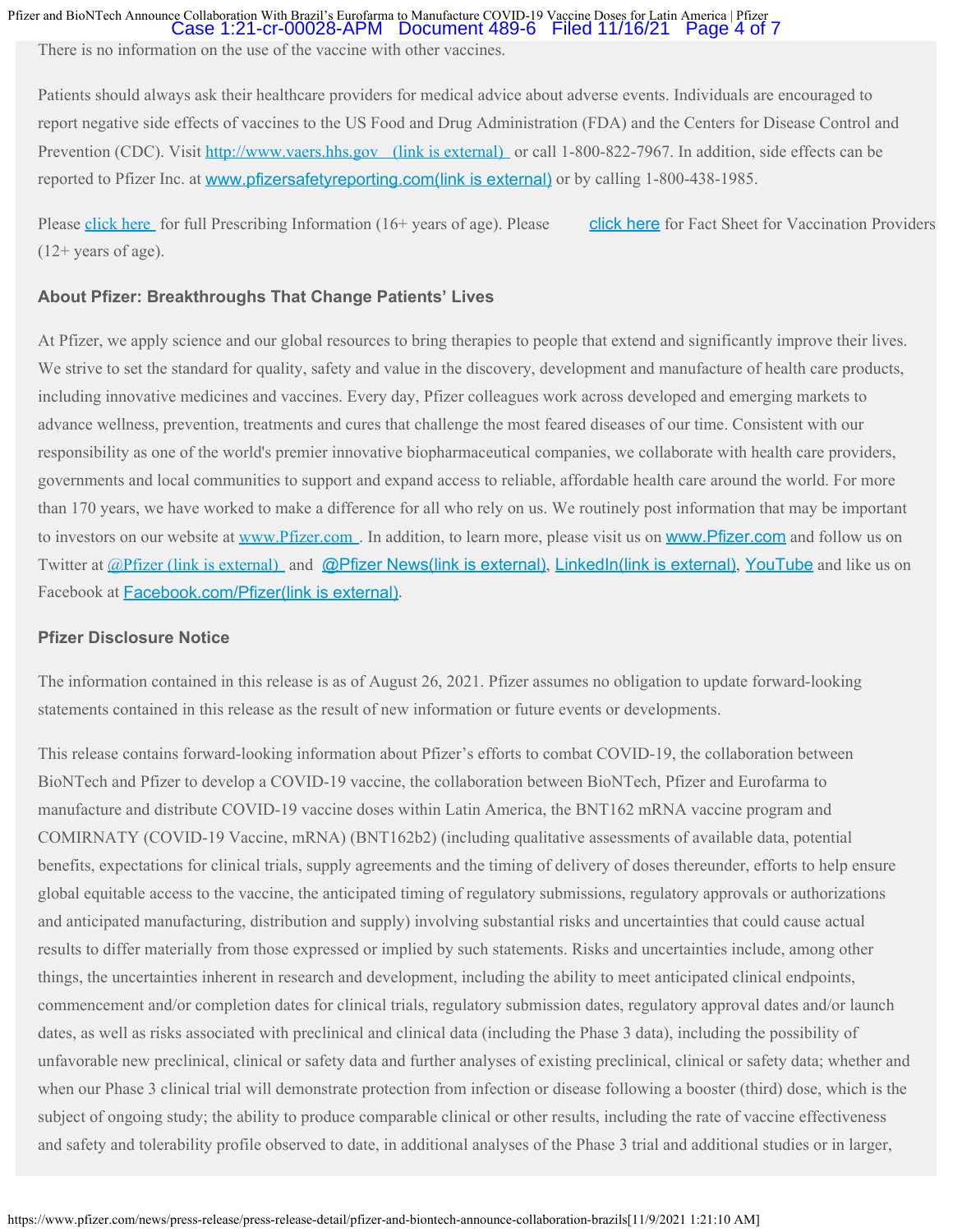### Pfizer and BioNTech Announce Collaboration With Brazil's Eurofarma to Manufacture COVID-19 Vaccine Doses for Latin America | Pfizer Case 1:21-cr-00028-APM Document 489-6 Filed 11/16/21 Page 4 of 7

There is no information on the use of the vaccine with other vaccines.

Patients should always ask their healthcare providers for medical advice about adverse events. Individuals are encouraged to report negative side effects of vaccines to the US Food and Drug Administration (FDA) and the Centers for Disease Control and Prevention (CDC). Visit [http://www.vaers.hhs.gov](https://cts.businesswire.com/ct/CT?id=smartlink&url=http%3A%2F%2Fwww.vaers.hhs.gov&esheet=52482176&newsitemid=20210826005385&lan=en-US&anchor=http%3A%2F%2Fwww.vaers.hhs.gov&index=1&md5=f50da0c104c5c563de7d1c78c56abc9b) [\(link is external\)](https://cts.businesswire.com/ct/CT?id=smartlink&url=http%3A%2F%2Fwww.vaers.hhs.gov&esheet=52482176&newsitemid=20210826005385&lan=en-US&anchor=http%3A%2F%2Fwww.vaers.hhs.gov&index=1&md5=f50da0c104c5c563de7d1c78c56abc9b) or call 1-800-822-7967. In addition, side effects can be reported to Pfizer Inc. at [www.pfizersafetyreporting.com\(link is external\)](https://cts.businesswire.com/ct/CT?id=smartlink&url=http%3A%2F%2Fwww.pfizersafetyreporting.com&esheet=52482176&newsitemid=20210826005385&lan=en-US&anchor=www.pfizersafetyreporting.com&index=2&md5=ee902b40e4b1f5254f114bbaff1b70d2) or by calling 1-800-438-1985.

Please [click here](https://cts.businesswire.com/ct/CT?id=smartlink&url=http%3A%2F%2Flabeling.pfizer.com%2FShowLabeling.aspx%3Fid%3D14471%26format%3Dpdf&esheet=52482176&newsitemid=20210826005385&lan=en-US&anchor=click+here&index=4&md5=6d51ee4cec85bb061026462a981f6c5e) for full Prescribing Information (16+ years of age). Please click here for Fact Sheet for Vaccination Providers  $(12 + \text{years of age}).$ 

#### **About Pfizer: Breakthroughs That Change Patients' Lives**

At Pfizer, we apply science and our global resources to bring therapies to people that extend and significantly improve their lives. We strive to set the standard for quality, safety and value in the discovery, development and manufacture of health care products, including innovative medicines and vaccines. Every day, Pfizer colleagues work across developed and emerging markets to advance wellness, prevention, treatments and cures that challenge the most feared diseases of our time. Consistent with our responsibility as one of the world's premier innovative biopharmaceutical companies, we collaborate with health care providers, governments and local communities to support and expand access to reliable, affordable health care around the world. For more than 170 years, we have worked to make a difference for all who rely on us. We routinely post information that may be important to investors on our website at [www.Pfizer.com](https://cts.businesswire.com/ct/CT?id=smartlink&url=http%3A%2F%2Fwww.pfizer.com%2F&esheet=52482176&newsitemid=20210826005385&lan=en-US&anchor=www.Pfizer.com&index=5&md5=e59638b12b5d695e1403e4b88ada48ce). In addition, to learn more, please visit us on [www.Pfizer.com](https://cts.businesswire.com/ct/CT?id=smartlink&url=http%3A%2F%2Fwww.pfizer.com%2F&esheet=52482176&newsitemid=20210826005385&lan=en-US&anchor=www.Pfizer.com&index=6&md5=97b6fe6cfc9a73650afddbd1c879ec07) and follow us on Twitter at [@Pfizer](https://cts.businesswire.com/ct/CT?id=smartlink&url=https%3A%2F%2Ftwitter.com%2Fpfizer&esheet=52482176&newsitemid=20210826005385&lan=en-US&anchor=%40Pfizer&index=7&md5=c5a872fd46280bcf590fd38f7424ab04) [\(link is external\)](https://cts.businesswire.com/ct/CT?id=smartlink&url=https%3A%2F%2Ftwitter.com%2Fpfizer&esheet=52482176&newsitemid=20210826005385&lan=en-US&anchor=%40Pfizer&index=7&md5=c5a872fd46280bcf590fd38f7424ab04) and [@Pfizer News\(link is external\)](https://cts.businesswire.com/ct/CT?id=smartlink&url=https%3A%2F%2Ftwitter.com%2Fpfizer_news&esheet=52482176&newsitemid=20210826005385&lan=en-US&anchor=%40Pfizer+News&index=8&md5=c793c92fa93cde99764578ae99298203), [LinkedIn\(link is external\)](https://cts.businesswire.com/ct/CT?id=smartlink&url=https%3A%2F%2Fwww.linkedin.com%2Fcompany%2Fpfizer&esheet=52482176&newsitemid=20210826005385&lan=en-US&anchor=LinkedIn&index=9&md5=95c92f9799578052fde3945e73634e89), [YouTube](https://cts.businesswire.com/ct/CT?id=smartlink&url=https%3A%2F%2Fwww.youtube.com%2Fpfizer&esheet=52482176&newsitemid=20210826005385&lan=en-US&anchor=YouTube&index=10&md5=8b8443753815d9eea83e30a0d2c27cb1) and like us on Facebook at [Facebook.com/Pfizer\(link is external\)](https://cts.businesswire.com/ct/CT?id=smartlink&url=https%3A%2F%2Fwww.facebook.com%2FPfizer%2F&esheet=52482176&newsitemid=20210826005385&lan=en-US&anchor=Facebook.com%2FPfizer&index=11&md5=26889cd7878a321d1d6473b778a1d25b).

#### **Pfizer Disclosure Notice**

The information contained in this release is as of August 26, 2021. Pfizer assumes no obligation to update forward-looking statements contained in this release as the result of new information or future events or developments.

This release contains forward-looking information about Pfizer's efforts to combat COVID-19, the collaboration between BioNTech and Pfizer to develop a COVID-19 vaccine, the collaboration between BioNTech, Pfizer and Eurofarma to manufacture and distribute COVID-19 vaccine doses within Latin America, the BNT162 mRNA vaccine program and COMIRNATY (COVID-19 Vaccine, mRNA) (BNT162b2) (including qualitative assessments of available data, potential benefits, expectations for clinical trials, supply agreements and the timing of delivery of doses thereunder, efforts to help ensure global equitable access to the vaccine, the anticipated timing of regulatory submissions, regulatory approvals or authorizations and anticipated manufacturing, distribution and supply) involving substantial risks and uncertainties that could cause actual results to differ materially from those expressed or implied by such statements. Risks and uncertainties include, among other things, the uncertainties inherent in research and development, including the ability to meet anticipated clinical endpoints, commencement and/or completion dates for clinical trials, regulatory submission dates, regulatory approval dates and/or launch dates, as well as risks associated with preclinical and clinical data (including the Phase 3 data), including the possibility of unfavorable new preclinical, clinical or safety data and further analyses of existing preclinical, clinical or safety data; whether and when our Phase 3 clinical trial will demonstrate protection from infection or disease following a booster (third) dose, which is the subject of ongoing study; the ability to produce comparable clinical or other results, including the rate of vaccine effectiveness and safety and tolerability profile observed to date, in additional analyses of the Phase 3 trial and additional studies or in larger,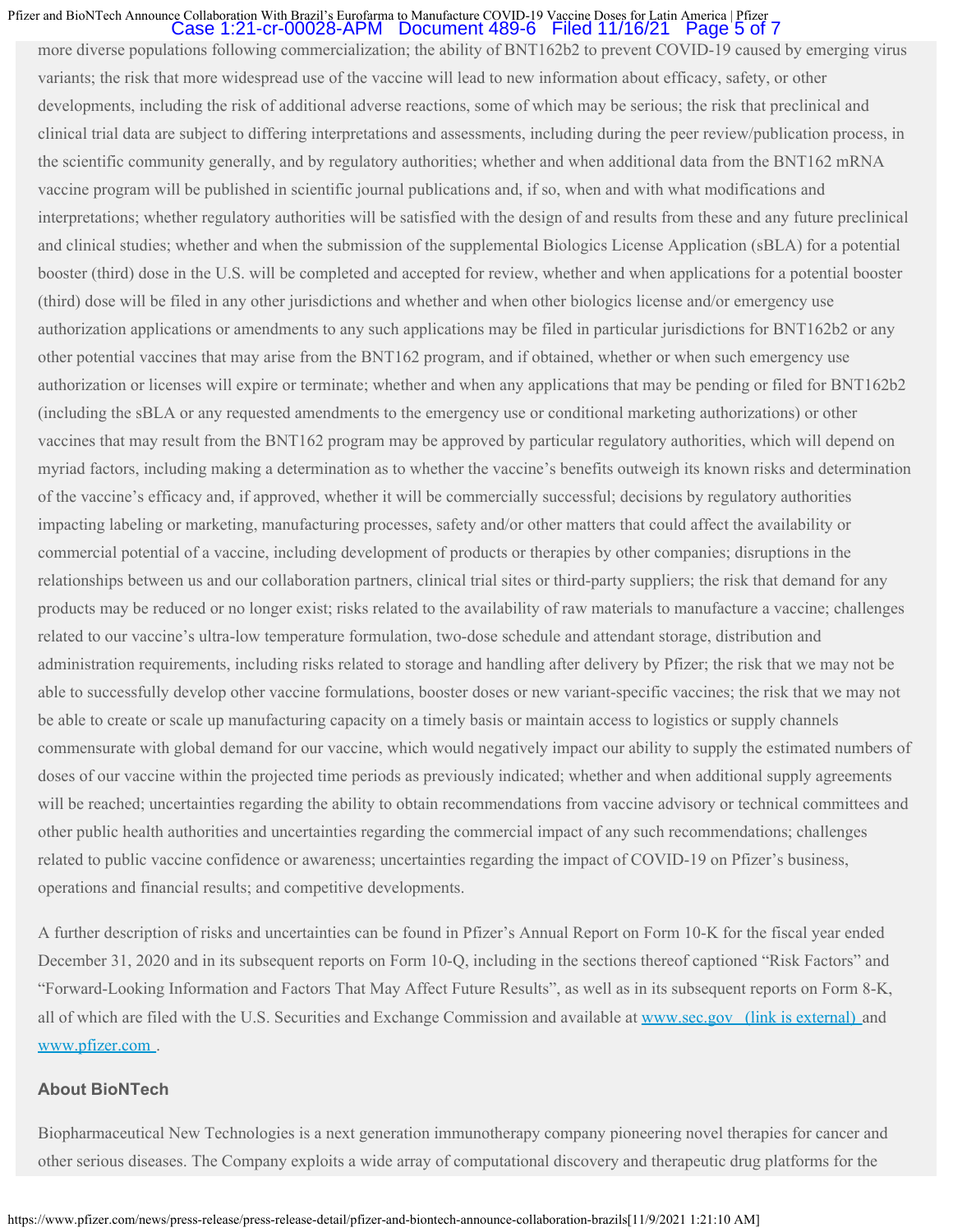### Pfizer and BioNTech Announce Collaboration With Brazil's Eurofarma to Manufacture COVID-19 Vaccine Doses for Latin America | Pfizer Case 1:21-cr-00028-APM Document 489-6 Filed 11/16/21 Page 5 of 7

more diverse populations following commercialization; the ability of BNT162b2 to prevent COVID-19 caused by emerging virus variants; the risk that more widespread use of the vaccine will lead to new information about efficacy, safety, or other developments, including the risk of additional adverse reactions, some of which may be serious; the risk that preclinical and clinical trial data are subject to differing interpretations and assessments, including during the peer review/publication process, in the scientific community generally, and by regulatory authorities; whether and when additional data from the BNT162 mRNA vaccine program will be published in scientific journal publications and, if so, when and with what modifications and interpretations; whether regulatory authorities will be satisfied with the design of and results from these and any future preclinical and clinical studies; whether and when the submission of the supplemental Biologics License Application (sBLA) for a potential booster (third) dose in the U.S. will be completed and accepted for review, whether and when applications for a potential booster (third) dose will be filed in any other jurisdictions and whether and when other biologics license and/or emergency use authorization applications or amendments to any such applications may be filed in particular jurisdictions for BNT162b2 or any other potential vaccines that may arise from the BNT162 program, and if obtained, whether or when such emergency use authorization or licenses will expire or terminate; whether and when any applications that may be pending or filed for BNT162b2 (including the sBLA or any requested amendments to the emergency use or conditional marketing authorizations) or other vaccines that may result from the BNT162 program may be approved by particular regulatory authorities, which will depend on myriad factors, including making a determination as to whether the vaccine's benefits outweigh its known risks and determination of the vaccine's efficacy and, if approved, whether it will be commercially successful; decisions by regulatory authorities impacting labeling or marketing, manufacturing processes, safety and/or other matters that could affect the availability or commercial potential of a vaccine, including development of products or therapies by other companies; disruptions in the relationships between us and our collaboration partners, clinical trial sites or third-party suppliers; the risk that demand for any products may be reduced or no longer exist; risks related to the availability of raw materials to manufacture a vaccine; challenges related to our vaccine's ultra-low temperature formulation, two-dose schedule and attendant storage, distribution and administration requirements, including risks related to storage and handling after delivery by Pfizer; the risk that we may not be able to successfully develop other vaccine formulations, booster doses or new variant-specific vaccines; the risk that we may not be able to create or scale up manufacturing capacity on a timely basis or maintain access to logistics or supply channels commensurate with global demand for our vaccine, which would negatively impact our ability to supply the estimated numbers of doses of our vaccine within the projected time periods as previously indicated; whether and when additional supply agreements will be reached; uncertainties regarding the ability to obtain recommendations from vaccine advisory or technical committees and other public health authorities and uncertainties regarding the commercial impact of any such recommendations; challenges related to public vaccine confidence or awareness; uncertainties regarding the impact of COVID-19 on Pfizer's business, operations and financial results; and competitive developments.

A further description of risks and uncertainties can be found in Pfizer's Annual Report on Form 10-K for the fiscal year ended December 31, 2020 and in its subsequent reports on Form 10-Q, including in the sections thereof captioned "Risk Factors" and "Forward-Looking Information and Factors That May Affect Future Results", as well as in its subsequent reports on Form 8-K, all of which are filed with the U.S. Securities and Exchange Commission and available at [www.sec.gov \(link is external\)](https://cts.businesswire.com/ct/CT?id=smartlink&url=https%3A%2F%2Fwww.globenewswire.com%2FTracker%3Fdata%3DRnYjuX1qNnk63wnFRI2njqkWCUtSvj6x_99MqPLwYIXuudw4effilg2LyEquwqm-7QGJ6tM6dhKt8Yb6iY-5gw%3D%3D&esheet=52482176&newsitemid=20210826005385&lan=en-US&anchor=www.sec.gov&index=12&md5=205fbfe66569b559b39cbde14794c171) and [www.pfizer.com](https://cts.businesswire.com/ct/CT?id=smartlink&url=https%3A%2F%2Fwww.globenewswire.com%2FTracker%3Fdata%3DRnYjuX1qNnk63wnFRI2njhMtuWVC6S5kOg8JnuFHwPyIzH1O7AiSzrr-wECJd2hrMZ7668ALHee8mVEXVNXWFA%3D%3D&esheet=52482176&newsitemid=20210826005385&lan=en-US&anchor=www.pfizer.com&index=13&md5=387256de3eda8577eca4114887a91ae2) .

#### **About BioNTech**

Biopharmaceutical New Technologies is a next generation immunotherapy company pioneering novel therapies for cancer and other serious diseases. The Company exploits a wide array of computational discovery and therapeutic drug platforms for the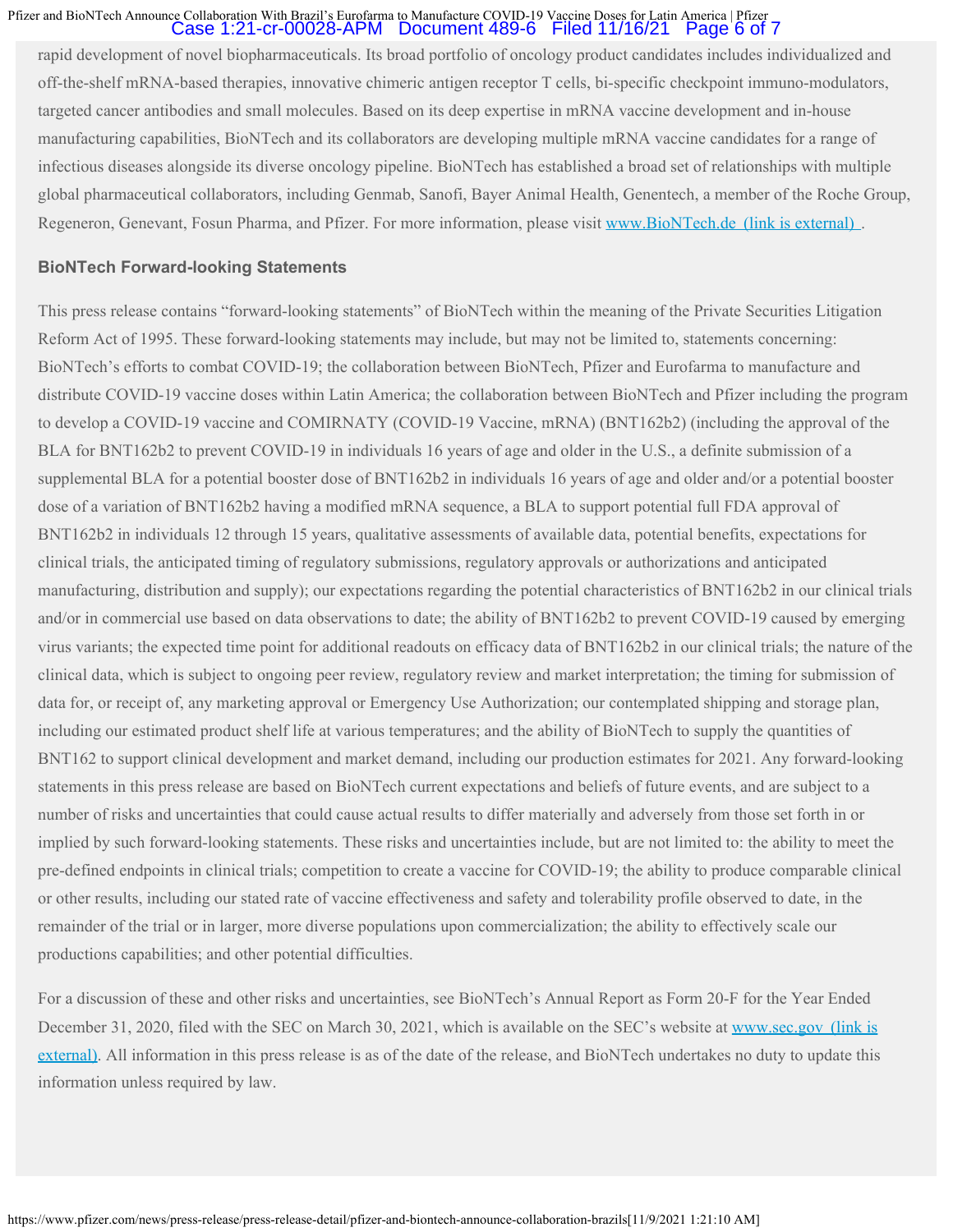## Pfizer and BioNTech Announce Collaboration With Brazil's Eurofarma to Manufacture COVID-19 Vaccine Doses for Latin America | Pfizer Case 1:21-cr-00028-APM Document 489-6 Filed 11/16/21 Page 6 of 7

rapid development of novel biopharmaceuticals. Its broad portfolio of oncology product candidates includes individualized and off-the-shelf mRNA-based therapies, innovative chimeric antigen receptor T cells, bi-specific checkpoint immuno-modulators, targeted cancer antibodies and small molecules. Based on its deep expertise in mRNA vaccine development and in-house manufacturing capabilities, BioNTech and its collaborators are developing multiple mRNA vaccine candidates for a range of infectious diseases alongside its diverse oncology pipeline. BioNTech has established a broad set of relationships with multiple global pharmaceutical collaborators, including Genmab, Sanofi, Bayer Animal Health, Genentech, a member of the Roche Group, Regeneron, Genevant, Fosun Pharma, and Pfizer. For more information, please visit [www.BioNTech.de](https://cts.businesswire.com/ct/CT?id=smartlink&url=http%3A%2F%2Fwww.BioNTech.de&esheet=52482176&newsitemid=20210826005385&lan=en-US&anchor=www.BioNTech.de&index=14&md5=6f7e31ddc752a306a45a86b0b8a60f82) [\(link is external\)](https://cts.businesswire.com/ct/CT?id=smartlink&url=http%3A%2F%2Fwww.BioNTech.de&esheet=52482176&newsitemid=20210826005385&lan=en-US&anchor=www.BioNTech.de&index=14&md5=6f7e31ddc752a306a45a86b0b8a60f82).

#### **BioNTech Forward-looking Statements**

This press release contains "forward-looking statements" of BioNTech within the meaning of the Private Securities Litigation Reform Act of 1995. These forward-looking statements may include, but may not be limited to, statements concerning: BioNTech's efforts to combat COVID-19; the collaboration between BioNTech, Pfizer and Eurofarma to manufacture and distribute COVID-19 vaccine doses within Latin America; the collaboration between BioNTech and Pfizer including the program to develop a COVID-19 vaccine and COMIRNATY (COVID-19 Vaccine, mRNA) (BNT162b2) (including the approval of the BLA for BNT162b2 to prevent COVID-19 in individuals 16 years of age and older in the U.S., a definite submission of a supplemental BLA for a potential booster dose of BNT162b2 in individuals 16 years of age and older and/or a potential booster dose of a variation of BNT162b2 having a modified mRNA sequence, a BLA to support potential full FDA approval of BNT162b2 in individuals 12 through 15 years, qualitative assessments of available data, potential benefits, expectations for clinical trials, the anticipated timing of regulatory submissions, regulatory approvals or authorizations and anticipated manufacturing, distribution and supply); our expectations regarding the potential characteristics of BNT162b2 in our clinical trials and/or in commercial use based on data observations to date; the ability of BNT162b2 to prevent COVID-19 caused by emerging virus variants; the expected time point for additional readouts on efficacy data of BNT162b2 in our clinical trials; the nature of the clinical data, which is subject to ongoing peer review, regulatory review and market interpretation; the timing for submission of data for, or receipt of, any marketing approval or Emergency Use Authorization; our contemplated shipping and storage plan, including our estimated product shelf life at various temperatures; and the ability of BioNTech to supply the quantities of BNT162 to support clinical development and market demand, including our production estimates for 2021. Any forward-looking statements in this press release are based on BioNTech current expectations and beliefs of future events, and are subject to a number of risks and uncertainties that could cause actual results to differ materially and adversely from those set forth in or implied by such forward-looking statements. These risks and uncertainties include, but are not limited to: the ability to meet the pre-defined endpoints in clinical trials; competition to create a vaccine for COVID-19; the ability to produce comparable clinical or other results, including our stated rate of vaccine effectiveness and safety and tolerability profile observed to date, in the remainder of the trial or in larger, more diverse populations upon commercialization; the ability to effectively scale our productions capabilities; and other potential difficulties.

For a discussion of these and other risks and uncertainties, see BioNTech's Annual Report as Form 20-F for the Year Ended December 31, 2020, filed with the SEC on March 30, 2021, which is available on the SEC's website at [www.sec.gov](https://cts.businesswire.com/ct/CT?id=smartlink&url=http%3A%2F%2Fwww.sec.gov&esheet=52482176&newsitemid=20210826005385&lan=en-US&anchor=www.sec.gov&index=15&md5=02539f973e5c2ea2fed171648f2e11c0) [\(link is](https://cts.businesswire.com/ct/CT?id=smartlink&url=http%3A%2F%2Fwww.sec.gov&esheet=52482176&newsitemid=20210826005385&lan=en-US&anchor=www.sec.gov&index=15&md5=02539f973e5c2ea2fed171648f2e11c0) [external\)](https://cts.businesswire.com/ct/CT?id=smartlink&url=http%3A%2F%2Fwww.sec.gov&esheet=52482176&newsitemid=20210826005385&lan=en-US&anchor=www.sec.gov&index=15&md5=02539f973e5c2ea2fed171648f2e11c0). All information in this press release is as of the date of the release, and BioNTech undertakes no duty to update this information unless required by law.